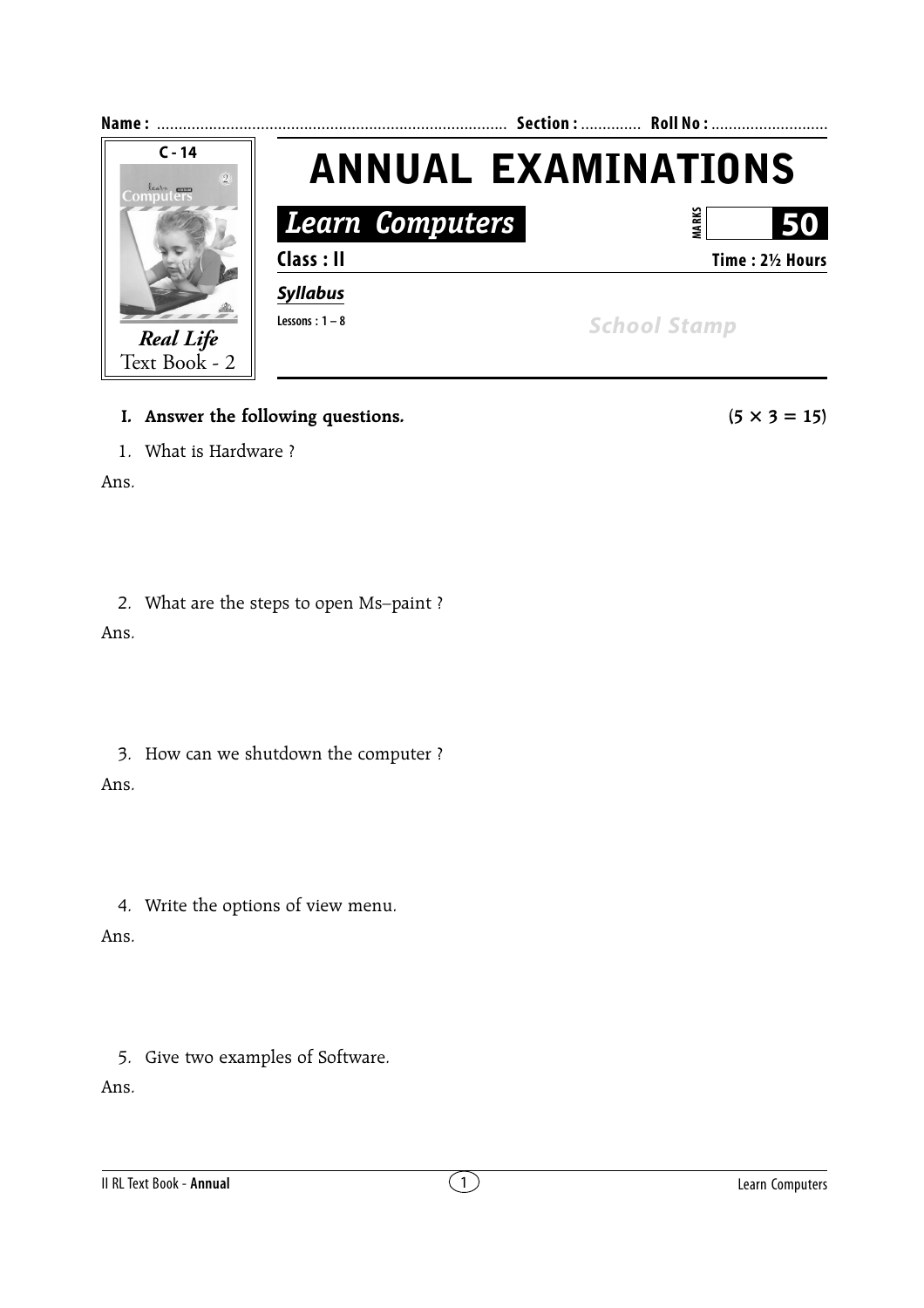

- **I.** Answer the following questions.  $(5 \times 3 = 15)$
- 1. What is Hardware ?

Ans.

## 2. What are the steps to open Ms–paint ?

Ans.

3. How can we shutdown the computer ? Ans.

4. Write the options of view menu.

Ans.

5. Give two examples of Software.

Ans.